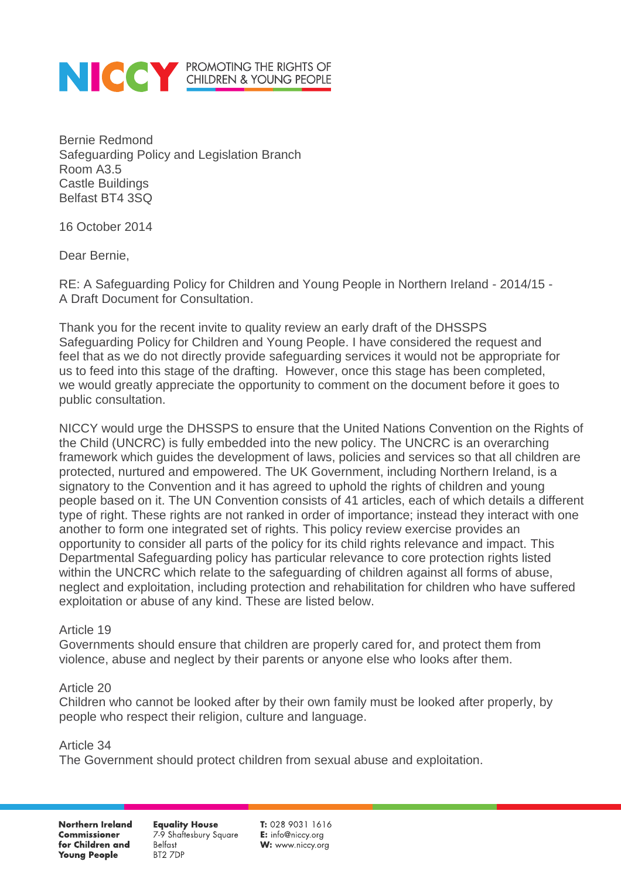

Bernie Redmond Safeguarding Policy and Legislation Branch Room A3.5 Castle Buildings Belfast BT4 3SQ

16 October 2014

Dear Bernie,

RE: A Safeguarding Policy for Children and Young People in Northern Ireland - 2014/15 - A Draft Document for Consultation.

Thank you for the recent invite to quality review an early draft of the DHSSPS Safeguarding Policy for Children and Young People. I have considered the request and feel that as we do not directly provide safeguarding services it would not be appropriate for us to feed into this stage of the drafting. However, once this stage has been completed, we would greatly appreciate the opportunity to comment on the document before it goes to public consultation.

NICCY would urge the DHSSPS to ensure that the United Nations Convention on the Rights of the Child (UNCRC) is fully embedded into the new policy. The UNCRC is an overarching framework which guides the development of laws, policies and services so that all children are protected, nurtured and empowered. The UK Government, including Northern Ireland, is a signatory to the Convention and it has agreed to uphold the rights of children and young people based on it. The UN Convention consists of 41 articles, each of which details a different type of right. These rights are not ranked in order of importance; instead they interact with one another to form one integrated set of rights. This policy review exercise provides an opportunity to consider all parts of the policy for its child rights relevance and impact. This Departmental Safeguarding policy has particular relevance to core protection rights listed within the UNCRC which relate to the safeguarding of children against all forms of abuse, neglect and exploitation, including protection and rehabilitation for children who have suffered exploitation or abuse of any kind. These are listed below.

### Article 19

Governments should ensure that children are properly cared for, and protect them from violence, abuse and neglect by their parents or anyone else who looks after them.

### Article 20

Children who cannot be looked after by their own family must be looked after properly, by people who respect their religion, culture and language.

Article 34 The Government should protect children from sexual abuse and exploitation.

Northern Ireland **Commissioner** for Children and **Young People** 

**Equality House** 7-9 Shaftesbury Square **Belfast** BT2 7DP

 $T: 02890311616$ E: info@niccy.org W: www.niccy.org